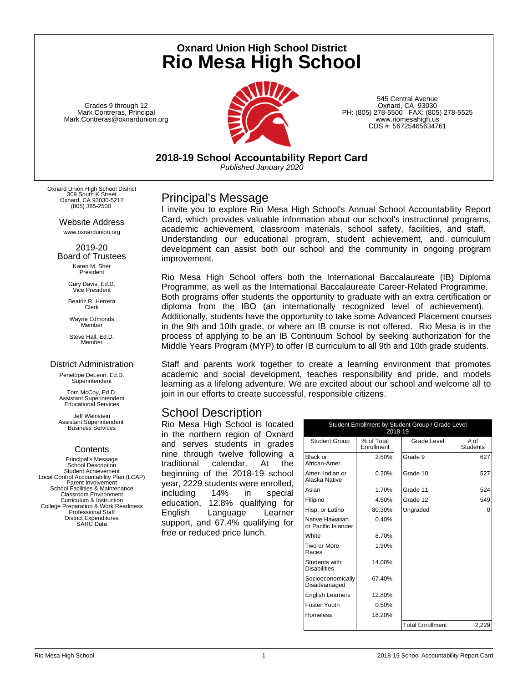**Oxnard Union High School District Rio Mesa High School**

Grades 9 through 12 Mark Contreras, Principal Mark.Contreras@oxnardunion.org



545 Central Avenue Oxnard, CA 93030 PH: (805) 278-5500 FAX: (805) 278-5525 www.riomesahigh.us CDS #: 56725465634761

**2018-19 School Accountability Report Card** *Published January 2020*

Oxnard Union High School District 309 South K Street Oxnard, CA 93030-5212 (805) 385-2500

> Website Address www.oxnardunion.org

2019-20 Board of Trustees Karen M. Sher President

> Gary Davis, Ed.D. Vice President

Beatriz R. Herrera Clerk

Wayne Edmonds Member

Steve Hall, Ed.D. Member

#### District Administration

Penelope DeLeon, Ed.D. **Superintendent** 

Tom McCoy, Ed.D. Assistant Superintendent Educational Services

Jeff Weinstein Assistant Superintendent Business Services

### **Contents**

Principal's Message School Description Student Achievement Local Control Accountability Plan (LCAP) Parent Involvement School Facilities & Maintenance Classroom Environment Curriculum & Instruction College Preparation & Work Readiness Professional Staff District Expenditures SARC Data

## Principal's Message

I invite you to explore Rio Mesa High School's Annual School Accountability Report Card, which provides valuable information about our school's instructional programs, academic achievement, classroom materials, school safety, facilities, and staff. Understanding our educational program, student achievement, and curriculum development can assist both our school and the community in ongoing program improvement.

Rio Mesa High School offers both the International Baccalaureate (IB) Diploma Programme, as well as the International Baccalaureate Career-Related Programme. Both programs offer students the opportunity to graduate with an extra certification or diploma from the IBO (an internationally recognized level of achievement). Additionally, students have the opportunity to take some Advanced Placement courses in the 9th and 10th grade, or where an IB course is not offered. Rio Mesa is in the process of applying to be an IB Continuum School by seeking authorization for the Middle Years Program (MYP) to offer IB curriculum to all 9th and 10th grade students.

Staff and parents work together to create a learning environment that promotes academic and social development, teaches responsibility and pride, and models learning as a lifelong adventure. We are excited about our school and welcome all to join in our efforts to create successful, responsible citizens.

## School Description

Rio Mesa High School is located in the northern region of Oxnard and serves students in grades nine through twelve following a traditional calendar. At the beginning of the 2018-19 school year, 2229 students were enrolled, including 14% in special education, 12.8% qualifying for English Language Learner support, and 67.4% qualifying for free or reduced price lunch.

|                                        | 2018-19                  | Student Enrollment by Student Group / Grade Level |                         |
|----------------------------------------|--------------------------|---------------------------------------------------|-------------------------|
| <b>Student Group</b>                   | % of Total<br>Enrollment | Grade Level                                       | # of<br><b>Students</b> |
| Black or<br>African-Amer.              | 2.50%                    | Grade 9                                           | 627                     |
| Amer. Indian or<br>Alaska Native       | 0.20%                    | Grade 10                                          | 527                     |
| Asian                                  | 1.70%                    | Grade 11                                          | 524                     |
| Filipino                               | 4.50%                    | Grade 12                                          | 549                     |
| Hisp. or Latino                        | 80.30%                   | Ungraded                                          | O                       |
| Native Hawaiian<br>or Pacific Islander | 0.40%                    |                                                   |                         |
| White                                  | 8.70%                    |                                                   |                         |
| Two or More<br>Races                   | 1.90%                    |                                                   |                         |
| Students with<br><b>Disabilities</b>   | 14.00%                   |                                                   |                         |
| Socioeconomically<br>Disadvantaged     | 67.40%                   |                                                   |                         |
| <b>English Learners</b>                | 12.80%                   |                                                   |                         |
| Foster Youth                           | 0.50%                    |                                                   |                         |
| Homeless                               | 18.20%                   |                                                   |                         |
|                                        |                          | <b>Total Enrollment</b>                           | 2,229                   |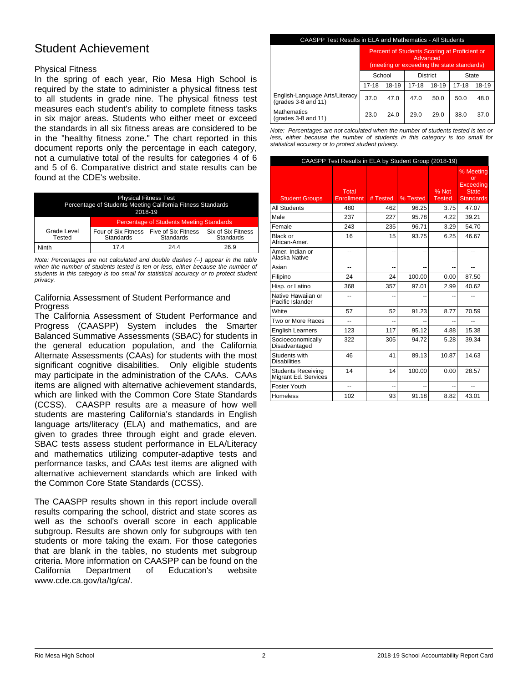## Student Achievement

## Physical Fitness

In the spring of each year, Rio Mesa High School is required by the state to administer a physical fitness test to all students in grade nine. The physical fitness test measures each student's ability to complete fitness tasks in six major areas. Students who either meet or exceed the standards in all six fitness areas are considered to be in the "healthy fitness zone." The chart reported in this document reports only the percentage in each category, not a cumulative total of the results for categories 4 of 6 and 5 of 6. Comparative district and state results can be found at the CDE's website.

| <b>Physical Fitness Test</b><br>Percentage of Students Meeting California Fitness Standards<br>2018-19 |                                                             |           |                                 |  |
|--------------------------------------------------------------------------------------------------------|-------------------------------------------------------------|-----------|---------------------------------|--|
|                                                                                                        | <b>Percentage of Students Meeting Standards</b>             |           |                                 |  |
| Grade Level<br>Tested                                                                                  | Four of Six Fitness Five of Six Fitness<br><b>Standards</b> | Standards | Six of Six Fitness<br>Standards |  |
| Ninth                                                                                                  | 174                                                         | 244       | 26.9                            |  |

*Note: Percentages are not calculated and double dashes (--) appear in the table when the number of students tested is ten or less, either because the number of students in this category is too small for statistical accuracy or to protect student privacy.*

### California Assessment of Student Performance and **Progress**

The California Assessment of Student Performance and Progress (CAASPP) System includes the Smarter Balanced Summative Assessments (SBAC) for students in the general education population, and the California Alternate Assessments (CAAs) for students with the most significant cognitive disabilities. Only eligible students may participate in the administration of the CAAs. CAAs items are aligned with alternative achievement standards, which are linked with the Common Core State Standards (CCSS). CAASPP results are a measure of how well students are mastering California's standards in English language arts/literacy (ELA) and mathematics, and are given to grades three through eight and grade eleven. SBAC tests assess student performance in ELA/Literacy and mathematics utilizing computer-adaptive tests and performance tasks, and CAAs test items are aligned with alternative achievement standards which are linked with the Common Core State Standards (CCSS).

The CAASPP results shown in this report include overall results comparing the school, district and state scores as well as the school's overall score in each applicable subgroup. Results are shown only for subgroups with ten students or more taking the exam. For those categories that are blank in the tables, no students met subgroup criteria. More information on CAASPP can be found on the California Department of Education's website www.cde.ca.gov/ta/tg/ca/.

#### CAASPP Test Results in ELA and Mathematics - All Students

|                                                              | Percent of Students Scoring at Proficient or<br>Advanced<br>(meeting or exceeding the state standards) |       |                 |       |       |       |
|--------------------------------------------------------------|--------------------------------------------------------------------------------------------------------|-------|-----------------|-------|-------|-------|
|                                                              | School                                                                                                 |       | <b>District</b> |       | State |       |
|                                                              | 17-18                                                                                                  | 18-19 | $17 - 18$       | 18-19 | 17-18 | 18-19 |
| English-Language Arts/Literacy<br>(grades $3-8$ and $11$ )   | 37.0                                                                                                   | 47.0  | 47.0            | 50.0  | 50.0  | 48.0  |
| <b>Mathematics</b><br>$(\text{grades } 3-8 \text{ and } 11)$ | 23.0                                                                                                   | 24.0  | 29.0            | 29.0  | 38.0  | 37.0  |

*Note: Percentages are not calculated when the number of students tested is ten or less, either because the number of students in this category is too small for statistical accuracy or to protect student privacy.*

|                                                   | CAASPP Test Results in ELA by Student Group (2018-19) |          |          |                        |                                                                  |
|---------------------------------------------------|-------------------------------------------------------|----------|----------|------------------------|------------------------------------------------------------------|
| <b>Student Groups</b>                             | Total<br><b>Enrollment</b>                            | # Tested | % Tested | % Not<br><b>Tested</b> | % Meeting<br>nr<br>Exceedina<br><b>State</b><br><b>Standards</b> |
| <b>All Students</b>                               | 480                                                   | 462      | 96.25    | 3.75                   | 47.07                                                            |
| Male                                              | 237                                                   | 227      | 95.78    | 4.22                   | 39.21                                                            |
| Female                                            | 243                                                   | 235      | 96.71    | 3.29                   | 54.70                                                            |
| Black or<br>African-Amer.                         | 16                                                    | 15       | 93.75    | 6.25                   | 46.67                                                            |
| Amer. Indian or<br>Alaska Native                  | $-1$                                                  | --       |          | ٠.                     |                                                                  |
| Asian                                             | --                                                    | --       |          | --                     |                                                                  |
| Filipino                                          | 24                                                    | 24       | 100.00   | 0.00                   | 87.50                                                            |
| Hisp. or Latino                                   | 368                                                   | 357      | 97.01    | 2.99                   | 40.62                                                            |
| Native Hawaiian or<br>Pacific Islander            | --                                                    | --       |          |                        |                                                                  |
| <b>White</b>                                      | 57                                                    | 52       | 91.23    | 8.77                   | 70.59                                                            |
| Two or More Races                                 | --                                                    | --       |          | --                     | --                                                               |
| <b>English Learners</b>                           | 123                                                   | 117      | 95.12    | 4.88                   | 15.38                                                            |
| Socioeconomically<br>Disadvantaged                | 322                                                   | 305      | 94.72    | 5.28                   | 39.34                                                            |
| Students with<br><b>Disabilities</b>              | 46                                                    | 41       | 89.13    | 10.87                  | 14.63                                                            |
| <b>Students Receiving</b><br>Migrant Ed. Services | 14                                                    | 14       | 100.00   | 0.00                   | 28.57                                                            |
| Foster Youth                                      | $=$                                                   | --       | ۵.       | --                     | --                                                               |
| <b>Homeless</b>                                   | 102                                                   | 93       | 91.18    | 8.82                   | 43.01                                                            |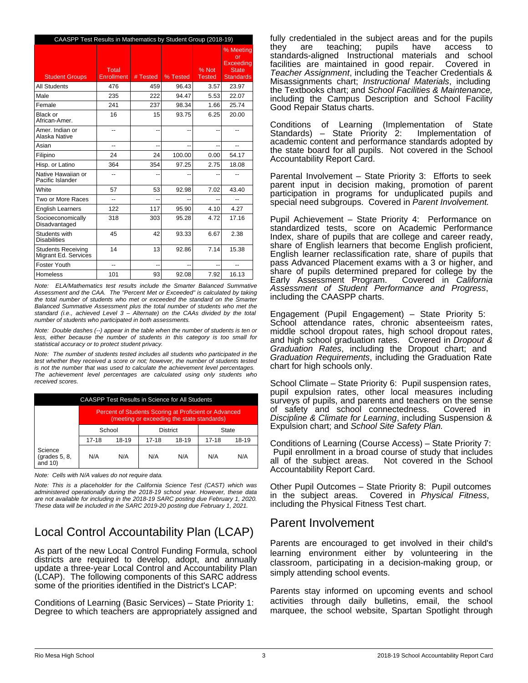|                                                   | CAASPP Test Results in Mathematics by Student Group (2018-19) |          |          |                        |                                                                  |  |  |
|---------------------------------------------------|---------------------------------------------------------------|----------|----------|------------------------|------------------------------------------------------------------|--|--|
| <b>Student Groups</b>                             | Total<br>Enrollment                                           | # Tested | % Tested | % Not<br><b>Tested</b> | % Meeting<br>or<br>Exceedina<br><b>State</b><br><b>Standards</b> |  |  |
| <b>All Students</b>                               | 476                                                           | 459      | 96.43    | 3.57                   | 23.97                                                            |  |  |
| Male                                              | 235                                                           | 222      | 94.47    | 5.53                   | 22.07                                                            |  |  |
| Female                                            | 241                                                           | 237      | 98.34    | 1.66                   | 25.74                                                            |  |  |
| Black or<br>African-Amer.                         | 16                                                            | 15       | 93.75    | 6.25                   | 20.00                                                            |  |  |
| Amer, Indian or<br>Alaska Native                  | --                                                            | --       |          |                        |                                                                  |  |  |
| Asian                                             | --                                                            | --       |          | --                     |                                                                  |  |  |
| Filipino                                          | 24                                                            | 24       | 100.00   | 0.00                   | 54.17                                                            |  |  |
| Hisp. or Latino                                   | 364                                                           | 354      | 97.25    | 2.75                   | 18.08                                                            |  |  |
| Native Hawaiian or<br>Pacific Islander            |                                                               |          |          |                        |                                                                  |  |  |
| White                                             | 57                                                            | 53       | 92.98    | 7.02                   | 43.40                                                            |  |  |
| Two or More Races                                 | $\overline{a}$                                                | --       |          | --                     | $-1$                                                             |  |  |
| <b>English Learners</b>                           | 122                                                           | 117      | 95.90    | 4.10                   | 4.27                                                             |  |  |
| Socioeconomically<br>Disadvantaged                | 318                                                           | 303      | 95.28    | 4.72                   | 17.16                                                            |  |  |
| Students with<br><b>Disabilities</b>              | 45                                                            | 42       | 93.33    | 6.67                   | 2.38                                                             |  |  |
| <b>Students Receiving</b><br>Migrant Ed. Services | 14                                                            | 13       | 92.86    | 7.14                   | 15.38                                                            |  |  |
| Foster Youth                                      | $\overline{a}$                                                | --       | --       | --                     | $\overline{a}$                                                   |  |  |
| <b>Homeless</b>                                   | 101                                                           | 93       | 92.08    | 7.92                   | 16.13                                                            |  |  |

*Note: ELA/Mathematics test results include the Smarter Balanced Summative Assessment and the CAA. The "Percent Met or Exceeded" is calculated by taking the total number of students who met or exceeded the standard on the Smarter Balanced Summative Assessment plus the total number of students who met the standard (i.e., achieved Level 3 – Alternate) on the CAAs divided by the total number of students who participated in both assessments.*

*Note: Double dashes (--) appear in the table when the number of students is ten or less, either because the number of students in this category is too small for statistical accuracy or to protect student privacy.*

*Note: The number of students tested includes all students who participated in the test whether they received a score or not; however, the number of students tested is not the number that was used to calculate the achievement level percentages. The achievement level percentages are calculated using only students who received scores.*

| CAASPP Test Results in Science for All Students |                                                                                                     |       |           |       |     |       |
|-------------------------------------------------|-----------------------------------------------------------------------------------------------------|-------|-----------|-------|-----|-------|
|                                                 | Percent of Students Scoring at Proficient or Advanced<br>(meeting or exceeding the state standards) |       |           |       |     |       |
|                                                 | School<br><b>District</b>                                                                           |       |           | State |     |       |
|                                                 | $17 - 18$                                                                                           | 18-19 | $17 - 18$ | 18-19 |     | 18-19 |
| Science<br>(grades 5, 8,<br>and $10$ )          | N/A                                                                                                 | N/A   | N/A       | N/A   | N/A | N/A   |

*Note: Cells with N/A values do not require data.*

*Note: This is a placeholder for the California Science Test (CAST) which was administered operationally during the 2018-19 school year. However, these data are not available for including in the 2018-19 SARC posting due February 1, 2020. These data will be included in the SARC 2019-20 posting due February 1, 2021.*

# Local Control Accountability Plan (LCAP)

As part of the new Local Control Funding Formula, school districts are required to develop, adopt, and annually update a three-year Local Control and Accountability Plan (LCAP). The following components of this SARC address some of the priorities identified in the District's LCAP:

Conditions of Learning (Basic Services) – State Priority 1: Degree to which teachers are appropriately assigned and fully credentialed in the subject areas and for the pupils they are teaching; pupils have access standards-aligned Instructional materials and school facilities are maintained in good repair. Covered in facilities are maintained in good repair. *Teacher Assignment*, including the Teacher Credentials & Misassignments chart; *Instructional Materials*, including the Textbooks chart; and *School Facilities & Maintenance,* including the Campus Description and School Facility Good Repair Status charts.

Conditions of Learning (Implementation of State Standards) – State Priority 2: academic content and performance standards adopted by the state board for all pupils. Not covered in the School Accountability Report Card.

Parental Involvement – State Priority 3: Efforts to seek parent input in decision making, promotion of parent participation in programs for unduplicated pupils and special need subgroups. Covered in *Parent Involvement.*

Pupil Achievement – State Priority 4: Performance on standardized tests, score on Academic Performance Index, share of pupils that are college and career ready, share of English learners that become English proficient, English learner reclassification rate, share of pupils that pass Advanced Placement exams with a 3 or higher, and share of pupils determined prepared for college by the Early Assessment Program. Covered in *California Assessment of Student Performance and Progress*, including the CAASPP charts.

Engagement (Pupil Engagement) – State Priority 5: School attendance rates, chronic absenteeism rates, middle school dropout rates, high school dropout rates, and high school graduation rates. Covered in *Dropout & Graduation Rates*, including the Dropout chart; and *Graduation Requirements*, including the Graduation Rate chart for high schools only.

School Climate – State Priority 6: Pupil suspension rates, pupil expulsion rates, other local measures including surveys of pupils, and parents and teachers on the sense of safety and school connectedness. Covered in *Discipline & Climate for Learning*, including Suspension & Expulsion chart; and *School Site Safety Plan.*

Conditions of Learning (Course Access) – State Priority 7: Pupil enrollment in a broad course of study that includes<br>all of the subject areas. Not covered in the School Not covered in the School Accountability Report Card.

Other Pupil Outcomes – State Priority 8: Pupil outcomes in the subject areas. Covered in *Physical Fitness*, including the Physical Fitness Test chart.

## Parent Involvement

Parents are encouraged to get involved in their child's learning environment either by volunteering in the classroom, participating in a decision-making group, or simply attending school events.

Parents stay informed on upcoming events and school activities through daily bulletins, email, the school marquee, the school website, Spartan Spotlight through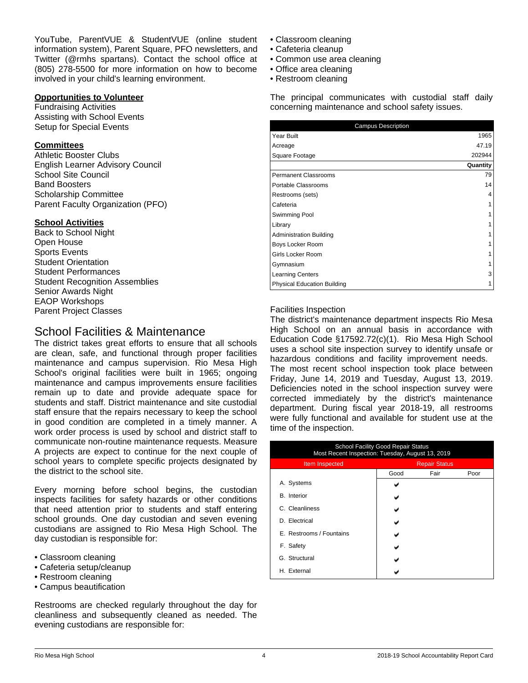YouTube, ParentVUE & StudentVUE (online student information system), Parent Square, PFO newsletters, and Twitter (@rmhs spartans). Contact the school office at (805) 278-5500 for more information on how to become involved in your child's learning environment.

## **Opportunities to Volunteer**

Fundraising Activities Assisting with School Events Setup for Special Events

## **Committees**

Athletic Booster Clubs English Learner Advisory Council School Site Council Band Boosters Scholarship Committee Parent Faculty Organization (PFO)

## **School Activities**

Back to School Night Open House Sports Events Student Orientation Student Performances **Student Recognition Assemblies** Senior Awards Night EAOP Workshops Parent Project Classes

## School Facilities & Maintenance

The district takes great efforts to ensure that all schools are clean, safe, and functional through proper facilities maintenance and campus supervision. Rio Mesa High School's original facilities were built in 1965; ongoing maintenance and campus improvements ensure facilities remain up to date and provide adequate space for students and staff. District maintenance and site custodial staff ensure that the repairs necessary to keep the school in good condition are completed in a timely manner. A work order process is used by school and district staff to communicate non-routine maintenance requests. Measure A projects are expect to continue for the next couple of school years to complete specific projects designated by the district to the school site.

Every morning before school begins, the custodian inspects facilities for safety hazards or other conditions that need attention prior to students and staff entering school grounds. One day custodian and seven evening custodians are assigned to Rio Mesa High School. The day custodian is responsible for:

- Classroom cleaning
- Cafeteria setup/cleanup
- Restroom cleaning
- Campus beautification

Restrooms are checked regularly throughout the day for cleanliness and subsequently cleaned as needed. The evening custodians are responsible for:

- Classroom cleaning
- Cafeteria cleanup
- Common use area cleaning
- Office area cleaning
- Restroom cleaning

The principal communicates with custodial staff daily concerning maintenance and school safety issues.

| <b>Campus Description</b>          |          |
|------------------------------------|----------|
| Year Built                         | 1965     |
| Acreage                            | 47.19    |
| Square Footage                     | 202944   |
|                                    | Quantity |
| <b>Permanent Classrooms</b>        | 79       |
| Portable Classrooms                | 14       |
| Restrooms (sets)                   | 4        |
| Cafeteria                          |          |
| Swimming Pool                      |          |
| Library                            |          |
| <b>Administration Building</b>     |          |
| Boys Locker Room                   |          |
| Girls Locker Room                  |          |
| Gymnasium                          |          |
| <b>Learning Centers</b>            | 3        |
| <b>Physical Education Building</b> |          |

## Facilities Inspection

The district's maintenance department inspects Rio Mesa High School on an annual basis in accordance with Education Code §17592.72(c)(1). Rio Mesa High School uses a school site inspection survey to identify unsafe or hazardous conditions and facility improvement needs. The most recent school inspection took place between Friday, June 14, 2019 and Tuesday, August 13, 2019. Deficiencies noted in the school inspection survey were corrected immediately by the district's maintenance department. During fiscal year 2018-19, all restrooms were fully functional and available for student use at the time of the inspection.

| <b>School Facility Good Repair Status</b><br>Most Recent Inspection: Tuesday, August 13, 2019 |                      |      |      |  |  |
|-----------------------------------------------------------------------------------------------|----------------------|------|------|--|--|
| Item Inspected                                                                                | <b>Repair Status</b> |      |      |  |  |
|                                                                                               | Good                 | Fair | Poor |  |  |
| Systems<br>Α.                                                                                 |                      |      |      |  |  |
| <b>B.</b> Interior                                                                            |                      |      |      |  |  |
| C. Cleanliness                                                                                |                      |      |      |  |  |
| D. Electrical                                                                                 |                      |      |      |  |  |
| E. Restrooms / Fountains                                                                      |                      |      |      |  |  |
| F. Safety                                                                                     |                      |      |      |  |  |
| G. Structural                                                                                 |                      |      |      |  |  |
| H. External                                                                                   |                      |      |      |  |  |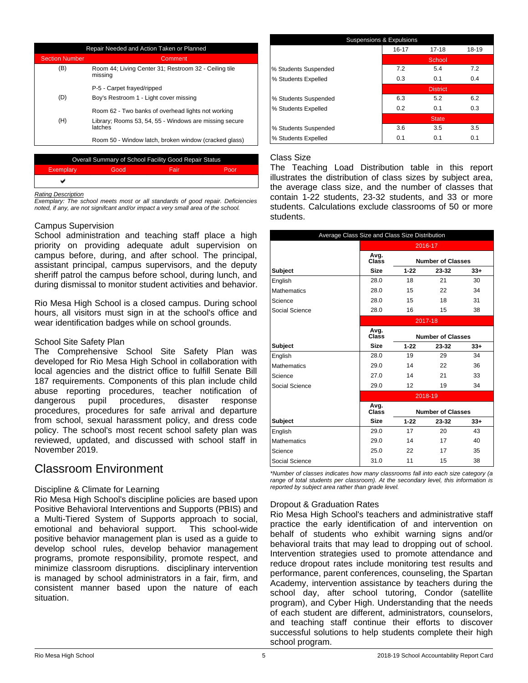| Repair Needed and Action Taken or Planned |                                                                   |  |  |
|-------------------------------------------|-------------------------------------------------------------------|--|--|
| <b>Section Number</b>                     | Comment                                                           |  |  |
| (B)                                       | Room 44; Living Center 31; Restroom 32 - Ceiling tile<br>missina  |  |  |
|                                           | P-5 - Carpet frayed/ripped                                        |  |  |
| (D)                                       | Boy's Restroom 1 - Light cover missing                            |  |  |
|                                           | Room 62 - Two banks of overhead lights not working                |  |  |
| (H)                                       | Library; Rooms 53, 54, 55 - Windows are missing secure<br>latches |  |  |
|                                           | Room 50 - Window latch, broken window (cracked glass)             |  |  |
|                                           |                                                                   |  |  |

| Overall Summary of School Facility Good Repair Status |      |        |      |  |  |
|-------------------------------------------------------|------|--------|------|--|--|
| Exemplary                                             | Good | 'Fair. | Poor |  |  |
| پ                                                     |      |        |      |  |  |

#### *Rating Description*

*Exemplary: The school meets most or all standards of good repair. Deficiencies noted, if any, are not signifcant and/or impact a very small area of the school.*

#### Campus Supervision

School administration and teaching staff place a high priority on providing adequate adult supervision on campus before, during, and after school. The principal, assistant principal, campus supervisors, and the deputy sheriff patrol the campus before school, during lunch, and during dismissal to monitor student activities and behavior.

Rio Mesa High School is a closed campus. During school hours, all visitors must sign in at the school's office and wear identification badges while on school grounds.

#### School Site Safety Plan

The Comprehensive School Site Safety Plan was developed for Rio Mesa High School in collaboration with local agencies and the district office to fulfill Senate Bill 187 requirements. Components of this plan include child abuse reporting procedures, teacher notification of dangerous pupil procedures, disaster response procedures, procedures for safe arrival and departure from school, sexual harassment policy, and dress code policy. The school's most recent school safety plan was reviewed, updated, and discussed with school staff in November 2019.

## Classroom Environment

### Discipline & Climate for Learning

Rio Mesa High School's discipline policies are based upon Positive Behavioral Interventions and Supports (PBIS) and a Multi-Tiered System of Supports approach to social, emotional and behavioral support. This school-wide positive behavior management plan is used as a guide to develop school rules, develop behavior management programs, promote responsibility, promote respect, and minimize classroom disruptions. disciplinary intervention is managed by school administrators in a fair, firm, and consistent manner based upon the nature of each situation.

| <b>Suspensions &amp; Expulsions</b> |       |                 |       |  |  |
|-------------------------------------|-------|-----------------|-------|--|--|
|                                     | 16-17 | $17 - 18$       | 18-19 |  |  |
|                                     |       | School          |       |  |  |
| % Students Suspended                | 7.2   | 5.4             | 7.2   |  |  |
| % Students Expelled                 | 0.3   | 0.1             | 0.4   |  |  |
|                                     |       | <b>District</b> |       |  |  |
| % Students Suspended                | 6.3   | 5.2             | 6.2   |  |  |
| % Students Expelled                 | 0.2   | 0.1             | 0.3   |  |  |
|                                     |       | <b>State</b>    |       |  |  |
| % Students Suspended                | 3.6   | 3.5             | 3.5   |  |  |
| % Students Expelled                 | 0.1   | 0.1             | 0.1   |  |  |

## Class Size

The Teaching Load Distribution table in this report illustrates the distribution of class sizes by subject area, the average class size, and the number of classes that contain 1-22 students, 23-32 students, and 33 or more students. Calculations exclude classrooms of 50 or more students.

| Average Class Size and Class Size Distribution |               |          |                          |       |  |  |
|------------------------------------------------|---------------|----------|--------------------------|-------|--|--|
|                                                |               |          | 2016-17                  |       |  |  |
|                                                | Avg.<br>Class |          | <b>Number of Classes</b> |       |  |  |
| <b>Subject</b>                                 | <b>Size</b>   | $1 - 22$ | 23-32                    | $33+$ |  |  |
| English                                        | 28.0          | 18       | 21                       | 30    |  |  |
| <b>Mathematics</b>                             | 28.0          | 15       | 22                       | 34    |  |  |
| Science                                        | 28.0          | 15       | 18                       | 31    |  |  |
| Social Science                                 | 28.0          | 16       | 15                       | 38    |  |  |
|                                                |               |          | 2017-18                  |       |  |  |
|                                                | Avg.<br>Class |          | <b>Number of Classes</b> |       |  |  |
| <b>Subject</b>                                 | <b>Size</b>   | $1 - 22$ | 23-32                    | $33+$ |  |  |
| English                                        | 28.0          | 19       | 29                       | 34    |  |  |
| <b>Mathematics</b>                             | 29.0          | 14       | 22                       | 36    |  |  |
| Science                                        | 27.0          | 14       | 21                       | 33    |  |  |
| Social Science                                 | 29.0          | 12       | 19                       | 34    |  |  |
|                                                |               |          | 2018-19                  |       |  |  |
|                                                | Avg.<br>Class |          | <b>Number of Classes</b> |       |  |  |
| <b>Subject</b>                                 | Size          | $1 - 22$ | 23-32                    | $33+$ |  |  |
| English                                        | 29.0          | 17       | 20                       | 43    |  |  |
| <b>Mathematics</b>                             | 29.0          | 14       | 17                       | 40    |  |  |
| Science                                        | 25.0          | 22       | 17                       | 35    |  |  |
| Social Science                                 | 31.0          | 11       | 15                       | 38    |  |  |

*\*Number of classes indicates how many classrooms fall into each size category (a range of total students per classroom). At the secondary level, this information is reported by subject area rather than grade level.*

## Dropout & Graduation Rates

Rio Mesa High School's teachers and administrative staff practice the early identification of and intervention on behalf of students who exhibit warning signs and/or behavioral traits that may lead to dropping out of school. Intervention strategies used to promote attendance and reduce dropout rates include monitoring test results and performance, parent conferences, counseling, the Spartan Academy, intervention assistance by teachers during the school day, after school tutoring, Condor (satellite program), and Cyber High. Understanding that the needs of each student are different, administrators, counselors, and teaching staff continue their efforts to discover successful solutions to help students complete their high school program.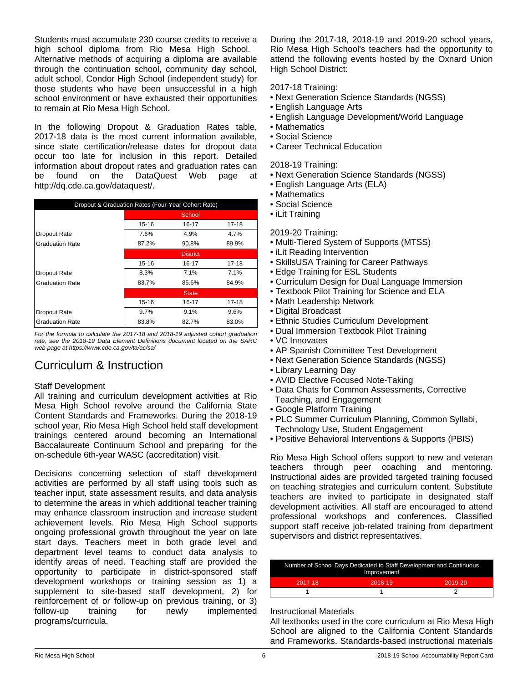Students must accumulate 230 course credits to receive a high school diploma from Rio Mesa High School. Alternative methods of acquiring a diploma are available through the continuation school, community day school, adult school, Condor High School (independent study) for those students who have been unsuccessful in a high school environment or have exhausted their opportunities to remain at Rio Mesa High School.

In the following Dropout & Graduation Rates table, 2017-18 data is the most current information available, since state certification/release dates for dropout data occur too late for inclusion in this report. Detailed information about dropout rates and graduation rates can be found on the DataQuest Web page at http://dq.cde.ca.gov/dataquest/.

| Dropout & Graduation Rates (Four-Year Cohort Rate) |                 |        |       |  |
|----------------------------------------------------|-----------------|--------|-------|--|
|                                                    |                 | School |       |  |
|                                                    | 15-16           | 16-17  | 17-18 |  |
| Dropout Rate                                       | 7.6%            | 4.9%   | 4.7%  |  |
| <b>Graduation Rate</b>                             | 87.2%           | 90.8%  | 89.9% |  |
|                                                    | <b>District</b> |        |       |  |
|                                                    | 15-16           | 16-17  | 17-18 |  |
| Dropout Rate                                       | 8.3%            | 7.1%   | 7.1%  |  |
| <b>Graduation Rate</b>                             | 83.7%           | 85.6%  | 84.9% |  |
|                                                    | <b>State</b>    |        |       |  |
|                                                    | $15 - 16$       | 16-17  | 17-18 |  |
| Dropout Rate                                       | 9.7%            | 9.1%   | 9.6%  |  |
| <b>Graduation Rate</b>                             | 83.8%           | 82.7%  | 83.0% |  |

*For the formula to calculate the 2017-18 and 2018-19 adjusted cohort graduation rate, see the 2018-19 Data Element Definitions document located on the SARC web page at https://www.cde.ca.gov/ta/ac/sa/*

# Curriculum & Instruction

## Staff Development

All training and curriculum development activities at Rio Mesa High School revolve around the California State Content Standards and Frameworks. During the 2018-19 school year, Rio Mesa High School held staff development trainings centered around becoming an International Baccalaureate Continuum School and preparing for the on-schedule 6th-year WASC (accreditation) visit.

Decisions concerning selection of staff development activities are performed by all staff using tools such as teacher input, state assessment results, and data analysis to determine the areas in which additional teacher training may enhance classroom instruction and increase student achievement levels. Rio Mesa High School supports ongoing professional growth throughout the year on late start days. Teachers meet in both grade level and department level teams to conduct data analysis to identify areas of need. Teaching staff are provided the opportunity to participate in district-sponsored staff development workshops or training session as 1) a supplement to site-based staff development, 2) for reinforcement of or follow-up on previous training, or 3)<br>follow-up training for newly implemented implemented programs/curricula.

During the 2017-18, 2018-19 and 2019-20 school years, Rio Mesa High School's teachers had the opportunity to attend the following events hosted by the Oxnard Union High School District:

2017-18 Training:

- Next Generation Science Standards (NGSS)
- English Language Arts
- English Language Development/World Language
- Mathematics
- Social Science
- Career Technical Education

2018-19 Training:

- Next Generation Science Standards (NGSS)
- English Language Arts (ELA)
- Mathematics
- Social Science
- iLit Training

2019-20 Training:

- Multi-Tiered System of Supports (MTSS)
- iLit Reading Intervention
- SkillsUSA Training for Career Pathways
- Edge Training for ESL Students
- Curriculum Design for Dual Language Immersion
- Textbook Pilot Training for Science and ELA
- Math Leadership Network
- Digital Broadcast
- Ethnic Studies Curriculum Development
- Dual Immersion Textbook Pilot Training
- VC Innovates
- AP Spanish Committee Test Development
- Next Generation Science Standards (NGSS)
- Library Learning Day
- AVID Elective Focused Note-Taking
- Data Chats for Common Assessments, Corrective Teaching, and Engagement
- Google Platform Training
- PLC Summer Curriculum Planning, Common Syllabi, Technology Use, Student Engagement
- Positive Behavioral Interventions & Supports (PBIS)

Rio Mesa High School offers support to new and veteran teachers through peer coaching and mentoring. Instructional aides are provided targeted training focused on teaching strategies and curriculum content. Substitute teachers are invited to participate in designated staff development activities. All staff are encouraged to attend professional workshops and conferences. Classified support staff receive job-related training from department supervisors and district representatives.

| Number of School Days Dedicated to Staff Development and Continuous<br>Improvement |         |         |  |
|------------------------------------------------------------------------------------|---------|---------|--|
| 2017-18                                                                            | 2018-19 | 2019-20 |  |
|                                                                                    |         |         |  |
|                                                                                    |         |         |  |

## Instructional Materials

All textbooks used in the core curriculum at Rio Mesa High School are aligned to the California Content Standards and Frameworks. Standards-based instructional materials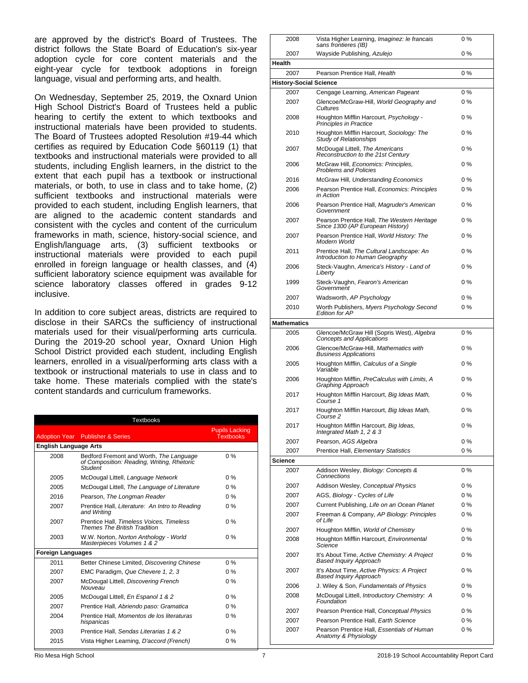are approved by the district's Board of Trustees. The district follows the State Board of Education's six-year adoption cycle for core content materials and the eight-year cycle for textbook adoptions in foreign language, visual and performing arts, and health.

On Wednesday, September 25, 2019, the Oxnard Union High School District's Board of Trustees held a public hearing to certify the extent to which textbooks and instructional materials have been provided to students. The Board of Trustees adopted Resolution #19-44 which certifies as required by Education Code §60119 (1) that textbooks and instructional materials were provided to all students, including English learners, in the district to the extent that each pupil has a textbook or instructional materials, or both, to use in class and to take home, (2) sufficient textbooks and instructional materials were provided to each student, including English learners, that are aligned to the academic content standards and consistent with the cycles and content of the curriculum frameworks in math, science, history-social science, and English/language arts, (3) sufficient textbooks or instructional materials were provided to each pupil enrolled in foreign language or health classes, and (4) sufficient laboratory science equipment was available for science laboratory classes offered in grades 9-12 inclusive.

In addition to core subject areas, districts are required to disclose in their SARCs the sufficiency of instructional materials used for their visual/performing arts curricula. During the 2019-20 school year, Oxnard Union High School District provided each student, including English learners, enrolled in a visual/performing arts class with a textbook or instructional materials to use in class and to take home. These materials complied with the state's content standards and curriculum frameworks.

|                              | <b>Textbooks</b>                                                                                 |                                           |
|------------------------------|--------------------------------------------------------------------------------------------------|-------------------------------------------|
|                              | <b>Adoption Year</b> Publisher & Series                                                          | <b>Pupils Lacking</b><br><b>Textbooks</b> |
| <b>English Language Arts</b> |                                                                                                  |                                           |
| 2008                         | Bedford Fremont and Worth, The Language<br>of Composition: Reading, Writing, Rhetoric<br>Student | $0\%$                                     |
| 2005                         | McDougal Littell, Language Network                                                               | $0\%$                                     |
| 2005                         | McDougal Littell, The Language of Literature                                                     | $0\%$                                     |
| 2016                         | Pearson, The Longman Reader                                                                      | $0\%$                                     |
| 2007                         | Prentice Hall, Literature: An Intro to Reading<br>and Writing                                    | $0\%$                                     |
| 2007                         | Prentice Hall, Timeless Voices, Timeless<br><b>Themes The British Tradition</b>                  | $0\%$                                     |
| 2003                         | W.W. Norton, Norton Anthology - World<br>Masterpieces Volumes 1 & 2                              | $0\%$                                     |
| <b>Foreign Languages</b>     |                                                                                                  |                                           |
| 2011                         | Better Chinese Limited, Discovering Chinese                                                      | $0\%$                                     |
| 2007                         | EMC Paradigm, Que Chevere 1, 2, 3                                                                | $0\%$                                     |
| 2007                         | McDougal Littell, Discovering French<br>Nouveau                                                  | $0\%$                                     |
| 2005                         | McDougal Littell, En Espanol 1 & 2                                                               | $0\%$                                     |
| 2007                         | Prentice Hall, Abriendo paso: Gramatica                                                          | $0\%$                                     |
| 2004                         | Prentice Hall, Momentos de los literaturas<br>hispanicas                                         | $0\%$                                     |
| 2003                         | Prentice Hall, Sendas Literarias 1 & 2                                                           | $0\%$                                     |
| 2015                         | Vista Higher Learning, D'accord (French)                                                         | $0\%$                                     |

| 2008                          | Vista Higher Learning, Imaginez: le francais<br>sans frontieres (IB)            | 0 %   |
|-------------------------------|---------------------------------------------------------------------------------|-------|
| 2007                          | Wayside Publishing, Azulejo                                                     | $0\%$ |
| Health                        |                                                                                 |       |
| 2007                          | Pearson Prentice Hall, Health                                                   | $0\%$ |
| <b>History-Social Science</b> |                                                                                 |       |
| 2007                          | Cengage Learning, American Pageant                                              | $0\%$ |
| 2007                          | Glencoe/McGraw-Hill, World Geography and<br>Cultures                            | $0\%$ |
| 2008                          | Houghton Mifflin Harcourt, Psychology -<br><b>Principles in Practice</b>        | $0\%$ |
| 2010                          | Houghton Mifflin Harcourt, Sociology: The<br>Study of Relationships             | $0\%$ |
| 2007                          | McDougal Littell, The Americans<br>Reconstruction to the 21st Century           | $0\%$ |
| 2006                          | McGraw Hill, Economics: Principles,<br><b>Problems and Policies</b>             | $0\%$ |
| 2016                          | McGraw Hill, Understanding Economics                                            | $0\%$ |
| 2006                          | Pearson Prentice Hall, Economics: Principles<br>in Action                       | $0\%$ |
| 2006                          | Pearson Prentice Hall, Magruder's American<br>Government                        | $0\%$ |
| 2007                          | Pearson Prentice Hall, The Western Heritage<br>Since 1300 (AP European History) | $0\%$ |
| 2007                          | Pearson Prentice Hall, World History: The<br>Modern World                       | $0\%$ |
| 2011                          | Prentice Hall, The Cultural Landscape: An<br>Introduction to Human Geography    | $0\%$ |
| 2006                          | Steck-Vaughn, America's History - Land of<br>Liberty                            | $0\%$ |
| 1999                          | Steck-Vaughn, Fearon's American<br>Government                                   | $0\%$ |
| 2007                          | Wadsworth, AP Psychology                                                        | 0 %   |
| 2010                          | Worth Publishers, Myers Psychology Second<br>Edition for AP                     | $0\%$ |
| <b>Mathematics</b>            |                                                                                 |       |
| 2005                          | Glencoe/McGraw Hill (Sopris West), Algebra<br><b>Concepts and Applications</b>  | $0\%$ |
| 2006                          | Glencoe/McGraw-Hill, Mathematics with<br><b>Business Applications</b>           | 0%    |
| 2005                          | Houghton Mifflin, Calculus of a Single<br>Variable                              | $0\%$ |
| 2006                          | Houghton Mifflin, PreCalculus with Limits, A<br>Graphing Approach               | 0 %   |
| 2017                          | Houghton Mifflin Harcourt, Big Ideas Math,<br>Course 1                          | 0 %   |
| 2017                          | Houghton Mifflin Harcourt, Big Ideas Math,<br>Course 2                          | 0%    |
| 2017                          | Houghton Mifflin Harcourt, Big Ideas,<br>Integrated Math 1, 2 & 3               | 0 %   |
| 2007                          | Pearson, AGS Algebra                                                            | $0\%$ |
| 2007                          | Prentice Hall, Elementary Statistics                                            | $0\%$ |
| Science                       |                                                                                 |       |
| 2007                          | Addison Wesley, Biology: Concepts &<br>Connections                              | $0\%$ |
| 2007                          | Addison Wesley, Conceptual Physics                                              | $0\%$ |
| 2007                          | AGS, Biology - Cycles of Life                                                   | $0\%$ |
| 2007                          | Current Publishing, Life on an Ocean Planet                                     | $0\%$ |
| 2007                          | Freeman & Company, AP Biology: Principles<br>of Life                            | $0\%$ |
| 2007                          | Houghton Mifflin, World of Chemistry                                            | $0\%$ |
| 2008                          | Houghton Mifflin Harcourt, Environmental<br>Science                             | $0\%$ |
| 2007                          | It's About Time, Active Chemistry: A Project<br><b>Based Inquiry Approach</b>   | 0%    |
| 2007                          | It's About Time, Active Physics: A Project<br><b>Based Inquiry Approach</b>     | 0 %   |
| 2006                          | J. Wiley & Son, Fundamentals of Physics                                         | $0\%$ |
| 2008                          | McDougal Littell, Introductory Chemistry: A<br>Foundation                       | 0 %   |
| 2007                          | Pearson Prentice Hall, Conceptual Physics                                       | 0 %   |
| 2007                          | Pearson Prentice Hall, Earth Science                                            | $0\%$ |
| 2007                          | Pearson Prentice Hall, Essentials of Human<br>Anatomy & Physiology              | $0\%$ |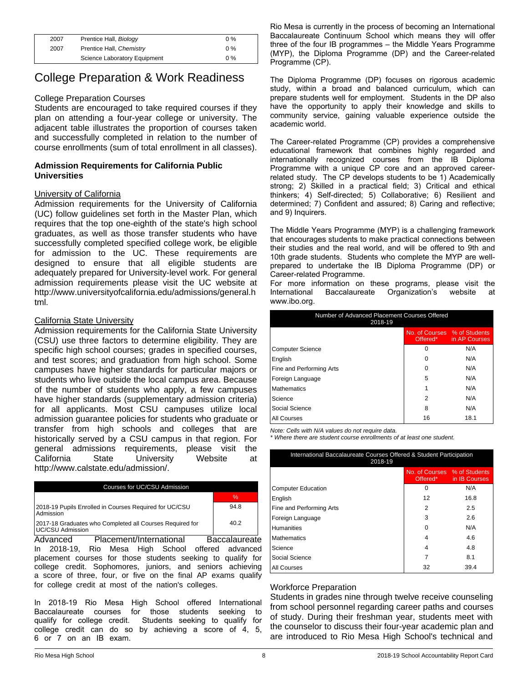| 2007 | Prentice Hall, Biology       | $0\%$ |
|------|------------------------------|-------|
| 2007 | Prentice Hall, Chemistry     | $0\%$ |
|      | Science Laboratory Equipment | $0\%$ |

## College Preparation & Work Readiness

### College Preparation Courses

Students are encouraged to take required courses if they plan on attending a four-year college or university. The adjacent table illustrates the proportion of courses taken and successfully completed in relation to the number of course enrollments (sum of total enrollment in all classes).

### **Admission Requirements for California Public Universities**

### University of California

Admission requirements for the University of California (UC) follow guidelines set forth in the Master Plan, which requires that the top one-eighth of the state's high school graduates, as well as those transfer students who have successfully completed specified college work, be eligible for admission to the UC. These requirements are designed to ensure that all eligible students are adequately prepared for University-level work. For general admission requirements please visit the UC website at http://www.universityofcalifornia.edu/admissions/general.h tml.

#### California State University

Admission requirements for the California State University (CSU) use three factors to determine eligibility. They are specific high school courses; grades in specified courses, and test scores; and graduation from high school. Some campuses have higher standards for particular majors or students who live outside the local campus area. Because of the number of students who apply, a few campuses have higher standards (supplementary admission criteria) for all applicants. Most CSU campuses utilize local admission guarantee policies for students who graduate or transfer from high schools and colleges that are historically served by a CSU campus in that region. For general admissions requirements, please visit the California State University Website at http://www.calstate.edu/admission/.

#### Courses for UC/CSU Admission

|                                                                              | %    |
|------------------------------------------------------------------------------|------|
| 2018-19 Pupils Enrolled in Courses Required for UC/CSU<br>Admission          | 94 8 |
| 2017-18 Graduates who Completed all Courses Required for<br>UC/CSU Admission | 40.2 |

Advanced Placement/International Baccalaureate In 2018-19, Rio Mesa High School offered advanced placement courses for those students seeking to qualify for college credit. Sophomores, juniors, and seniors achieving a score of three, four, or five on the final AP exams qualify for college credit at most of the nation's colleges.

In 2018-19 Rio Mesa High School offered International Baccalaureate courses for those students seeking to qualify for college credit. Students seeking to qualify for college credit can do so by achieving a score of 4, 5, 6 or 7 on an IB exam.

Rio Mesa is currently in the process of becoming an International Baccalaureate Continuum School which means they will offer three of the four IB programmes – the Middle Years Programme (MYP), the Diploma Programme (DP) and the Career-related Programme (CP).

The Diploma Programme (DP) focuses on rigorous academic study, within a broad and balanced curriculum, which can prepare students well for employment. Students in the DP also have the opportunity to apply their knowledge and skills to community service, gaining valuable experience outside the academic world.

The Career-related Programme (CP) provides a comprehensive educational framework that combines highly regarded and internationally recognized courses from the IB Diploma Programme with a unique CP core and an approved careerrelated study. The CP develops students to be 1) Academically strong; 2) Skilled in a practical field; 3) Critical and ethical thinkers; 4) Self-directed; 5) Collaborative; 6) Resilient and determined; 7) Confident and assured; 8) Caring and reflective; and 9) Inquirers.

The Middle Years Programme (MYP) is a challenging framework that encourages students to make practical connections between their studies and the real world, and will be offered to 9th and 10th grade students. Students who complete the MYP are wellprepared to undertake the IB Diploma Programme (DP) or Career-related Programme.

For more information on these programs, please visit the International Baccalaureate Organization's website at www.ibo.org.

| Number of Advanced Placement Courses Offered<br>2018-19 |                                          |               |  |
|---------------------------------------------------------|------------------------------------------|---------------|--|
|                                                         | No. of Courses % of Students<br>Offered* | in AP Courses |  |
| Computer Science                                        | 0                                        | N/A           |  |
| English                                                 | O                                        | N/A           |  |
| Fine and Performing Arts                                | 0                                        | N/A           |  |
| Foreign Language                                        | 5                                        | N/A           |  |
| Mathematics                                             |                                          | N/A           |  |
| Science                                                 | 2                                        | N/A           |  |
| Social Science                                          | 8                                        | N/A           |  |
| All Courses                                             | 16                                       | 18.1          |  |

*Note: Cells with N/A values do not require data.*

*\* Where there are student course enrollments of at least one student.*

| International Baccalaureate Courses Offered & Student Participation<br>2018-19 |                              |                                    |  |
|--------------------------------------------------------------------------------|------------------------------|------------------------------------|--|
|                                                                                | No. of Courses % of Students | Offered <sup>*</sup> in IB Courses |  |
| Computer Education                                                             | 0                            | N/A                                |  |
| English                                                                        | 12                           | 16.8                               |  |
| Fine and Performing Arts                                                       | 2                            | 2.5                                |  |
| Foreign Language                                                               | 3                            | 2.6                                |  |
| Humanities                                                                     | 0                            | N/A                                |  |
| Mathematics                                                                    | 4                            | 4.6                                |  |
| Science                                                                        | 4                            | 4.8                                |  |
| Social Science                                                                 |                              | 8.1                                |  |
| All Courses                                                                    | 32                           | 39.4                               |  |

#### Workforce Preparation

Students in grades nine through twelve receive counseling from school personnel regarding career paths and courses of study. During their freshman year, students meet with the counselor to discuss their four-year academic plan and are introduced to Rio Mesa High School's technical and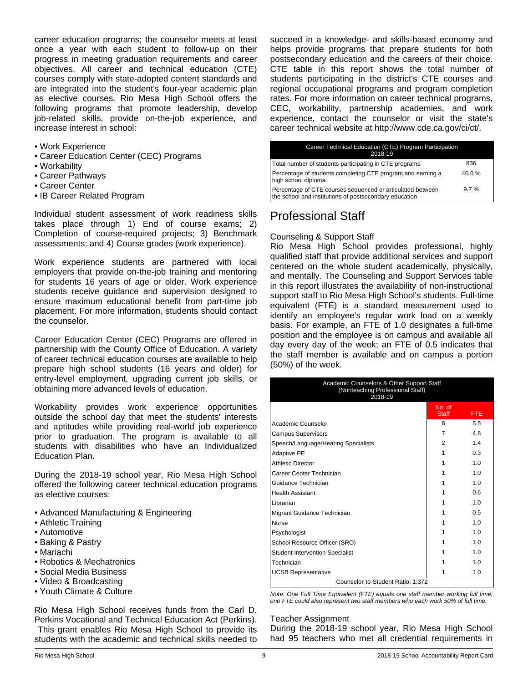career education programs; the counselor meets at least once a year with each student to follow-up on their progress in meeting graduation requirements and career objectives. All career and technical education (CTE) courses comply with state-adopted content standards and are integrated into the student's four-year academic plan as elective courses. Rio Mesa High School offers the following programs that promote leadership, develop job-related skills, provide on-the-job experience, and increase interest in school:

- Work Experience
- Career Education Center (CEC) Programs
- Workability
- Career Pathways
- Career Center
- IB Career Related Program

Individual student assessment of work readiness skills takes place through 1) End of course exams; 2) Completion of course-required projects; 3) Benchmark assessments; and 4) Course grades (work experience).

Work experience students are partnered with local employers that provide on-the-job training and mentoring for students 16 years of age or older. Work experience students receive guidance and supervision designed to ensure maximum educational benefit from part-time job placement. For more information, students should contact the counselor.

Career Education Center (CEC) Programs are offered in partnership with the County Office of Education. A variety of career technical education courses are available to help prepare high school students (16 years and older) for entry-level employment, upgrading current job skills, or obtaining more advanced levels of education.

Workability provides work experience opportunities outside the school day that meet the students' interests and aptitudes while providing real-world job experience prior to graduation. The program is available to all students with disabilities who have an Individualized Education Plan.

During the 2018-19 school year, Rio Mesa High School offered the following career technical education programs as elective courses:

- Advanced Manufacturing & Engineering
- Athletic Training
- Automotive
- Baking & Pastry
- Mariachi
- Robotics & Mechatronics
- Social Media Business
- Video & Broadcasting
- Youth Climate & Culture

Rio Mesa High School receives funds from the Carl D. Perkins Vocational and Technical Education Act (Perkins). This grant enables Rio Mesa High School to provide its students with the academic and technical skills needed to succeed in a knowledge- and skills-based economy and helps provide programs that prepare students for both postsecondary education and the careers of their choice. CTE table in this report shows the total number of students participating in the district's CTE courses and regional occupational programs and program completion rates. For more information on career technical programs, CEC, workability, partnership academies, and work experience, contact the counselor or visit the state's career technical website at http://www.cde.ca.gov/ci/ct/.

| Career Technical Education (CTE) Program Participation<br>2018-19                                                    |         |
|----------------------------------------------------------------------------------------------------------------------|---------|
| Total number of students participating in CTE programs                                                               | 836     |
| Percentage of students completing CTE program and earning a<br>high school diploma                                   | 40.0%   |
| Percentage of CTE courses sequenced or articulated between<br>the school and institutions of postsecondary education | $9.7\%$ |

# Professional Staff

## Counseling & Support Staff

Rio Mesa High School provides professional, highly qualified staff that provide additional services and support centered on the whole student academically, physically, and mentally. The Counseling and Support Services table in this report illustrates the availability of non-instructional support staff to Rio Mesa High School's students. Full-time equivalent (FTE) is a standard measurement used to identify an employee's regular work load on a weekly basis. For example, an FTE of 1.0 designates a full-time position and the employee is on campus and available all day every day of the week; an FTE of 0.5 indicates that the staff member is available and on campus a portion (50%) of the week.

| Academic Counselors & Other Support Staff<br>(Nonteaching Professional Staff)<br>2018-19 |                        |            |  |
|------------------------------------------------------------------------------------------|------------------------|------------|--|
|                                                                                          | No. of<br><b>Staff</b> | <b>FTE</b> |  |
| Academic Counselor                                                                       | 6                      | 5.5        |  |
| <b>Campus Supervisors</b>                                                                | 7                      | 4.8        |  |
| Speech/Language/Hearing Specialists                                                      | 2                      | 14         |  |
| <b>Adaptive PE</b>                                                                       | 1                      | 0.3        |  |
| <b>Athletic Director</b>                                                                 | 1                      | 1.0        |  |
| Career Center Technician                                                                 |                        | 1.0        |  |
| Guidance Technician                                                                      |                        | 1.0        |  |
| <b>Health Assistant</b>                                                                  |                        | 06         |  |
| Librarian                                                                                |                        | 1.0        |  |
| Migrant Guidance Technician                                                              | 1                      | 0.5        |  |
| <b>Nurse</b>                                                                             |                        | 1.0        |  |
| Psychologist                                                                             |                        | 1.0        |  |
| School Resource Officer (SRO)                                                            |                        | 1.0        |  |
| <b>Student Intervention Specialist</b>                                                   |                        | 1.0        |  |
| Technician                                                                               |                        | 1.0        |  |
| <b>UCSB Representative</b>                                                               |                        | 1.0        |  |
| Counselor-to-Student Ratio: 1:372                                                        |                        |            |  |

*Note: One Full Time Equivalent (FTE) equals one staff member working full time; one FTE could also represent two staff members who each work 50% of full time.*

#### Teacher Assignment

During the 2018-19 school year, Rio Mesa High School had 95 teachers who met all credential requirements in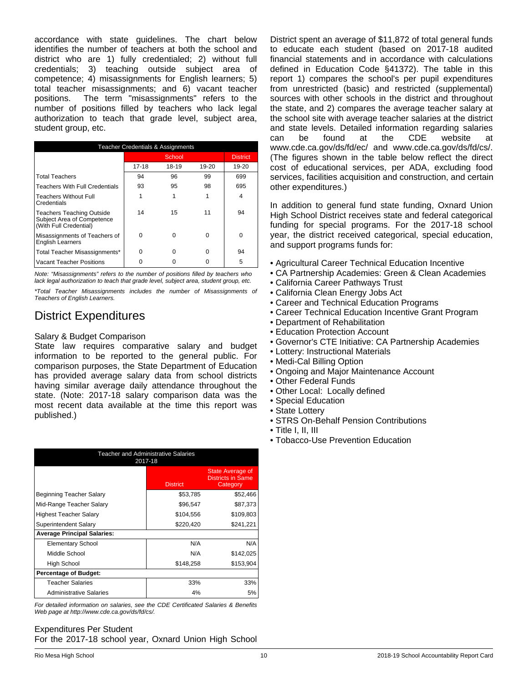accordance with state guidelines. The chart below identifies the number of teachers at both the school and district who are 1) fully credentialed; 2) without full credentials; 3) teaching outside subject area of competence; 4) misassignments for English learners; 5) total teacher misassignments; and 6) vacant teacher positions. The term "misassignments" refers to the number of positions filled by teachers who lack legal authorization to teach that grade level, subject area, student group, etc.

| <b>Teacher Credentials &amp; Assignments</b>                                             |       |        |       |                 |
|------------------------------------------------------------------------------------------|-------|--------|-------|-----------------|
|                                                                                          |       | School |       | <b>District</b> |
|                                                                                          | 17-18 | 18-19  | 19-20 | 19-20           |
| <b>Total Teachers</b>                                                                    | 94    | 96     | 99    | 699             |
| <b>Teachers With Full Credentials</b>                                                    | 93    | 95     | 98    | 695             |
| <b>Teachers Without Full</b><br>Credentials                                              |       |        | 1     | 4               |
| <b>Teachers Teaching Outside</b><br>Subject Area of Competence<br>(With Full Credential) | 14    | 15     | 11    | 94              |
| Misassignments of Teachers of<br><b>English Learners</b>                                 | ŋ     | O      | U     | 0               |
| Total Teacher Misassignments*                                                            | O     | ŋ      |       | 94              |
| <b>Vacant Teacher Positions</b>                                                          |       |        |       | 5               |

*Note: "Misassignments" refers to the number of positions filled by teachers who lack legal authorization to teach that grade level, subject area, student group, etc.*

*\*Total Teacher Misassignments includes the number of Misassignments of Teachers of English Learners.*

# District Expenditures

## Salary & Budget Comparison

State law requires comparative salary and budget information to be reported to the general public. For comparison purposes, the State Department of Education has provided average salary data from school districts having similar average daily attendance throughout the state. (Note: 2017-18 salary comparison data was the most recent data available at the time this report was published.)

| <b>Teacher and Administrative Salaries</b><br>2017-18 |                 |                                                          |  |
|-------------------------------------------------------|-----------------|----------------------------------------------------------|--|
|                                                       | <b>District</b> | State Average of<br><b>Districts in Same</b><br>Category |  |
| Beginning Teacher Salary                              | \$53,785        | \$52,466                                                 |  |
| Mid-Range Teacher Salary                              | \$96,547        | \$87,373                                                 |  |
| Highest Teacher Salary                                | \$104,556       | \$109,803                                                |  |
| Superintendent Salary                                 | \$220,420       | \$241,221                                                |  |
| <b>Average Principal Salaries:</b>                    |                 |                                                          |  |
| <b>Elementary School</b>                              | N/A             | N/A                                                      |  |
| Middle School                                         | N/A             | \$142,025                                                |  |
| High School                                           | \$148,258       | \$153,904                                                |  |
| <b>Percentage of Budget:</b>                          |                 |                                                          |  |
| <b>Teacher Salaries</b>                               | 33%             | 33%                                                      |  |
| <b>Administrative Salaries</b>                        | 4%              | 5%                                                       |  |

*For detailed information on salaries, see the CDE Certificated Salaries & Benefits Web page at http://www.cde.ca.gov/ds/fd/cs/.*

### Expenditures Per Student For the 2017-18 school year, Oxnard Union High School

District spent an average of \$11,872 of total general funds to educate each student (based on 2017-18 audited financial statements and in accordance with calculations defined in Education Code §41372). The table in this report 1) compares the school's per pupil expenditures from unrestricted (basic) and restricted (supplemental) sources with other schools in the district and throughout the state, and 2) compares the average teacher salary at the school site with average teacher salaries at the district and state levels. Detailed information regarding salaries can be found at the CDE website at www.cde.ca.gov/ds/fd/ec/ and www.cde.ca.gov/ds/fd/cs/. (The figures shown in the table below reflect the direct cost of educational services, per ADA, excluding food services, facilities acquisition and construction, and certain other expenditures.)

In addition to general fund state funding, Oxnard Union High School District receives state and federal categorical funding for special programs. For the 2017-18 school year, the district received categorical, special education, and support programs funds for:

- Agricultural Career Technical Education Incentive
- CA Partnership Academies: Green & Clean Academies
- California Career Pathways Trust
- California Clean Energy Jobs Act
- Career and Technical Education Programs
- Career Technical Education Incentive Grant Program
- Department of Rehabilitation
- Education Protection Account
- Governor's CTE Initiative: CA Partnership Academies
- Lottery: Instructional Materials
- Medi-Cal Billing Option
- Ongoing and Major Maintenance Account
- Other Federal Funds
- Other Local: Locally defined
- Special Education
- State Lottery
- STRS On-Behalf Pension Contributions
- Title I, II, III
- Tobacco-Use Prevention Education